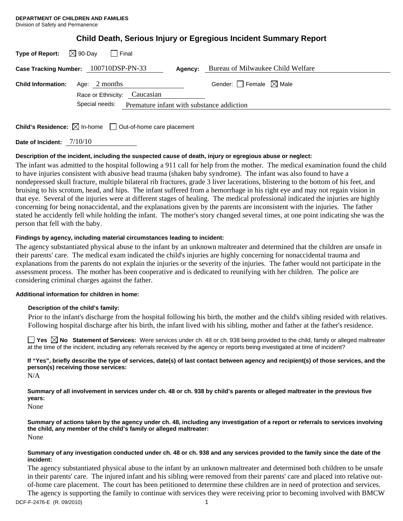| Child Death, Serious Injury or Egregious Incident Summary Report |  |  |  |
|------------------------------------------------------------------|--|--|--|
|                                                                  |  |  |  |

| $\boxtimes$ 90-Day<br>Type of Report:<br>l Final                                |                                        |  |  |
|---------------------------------------------------------------------------------|----------------------------------------|--|--|
| Case Tracking Number: 100710DSP-PN-33<br>Agency:                                | Bureau of Milwaukee Child Welfare      |  |  |
| Age: $2$ months<br><b>Child Information:</b><br>Race or Ethnicity: Caucasian    | Gender: $\Box$ Female $\boxtimes$ Male |  |  |
| Special needs: Premature infant with substance addiction                        |                                        |  |  |
| <b>Child's Residence:</b> $\boxtimes$ In-home $\Box$ Out-of-home care placement |                                        |  |  |

**Date of Incident:** 7/10/10

## **Description of the incident, including the suspected cause of death, injury or egregious abuse or neglect:**

The infant was admitted to the hospital following a 911 call for help from the mother. The medical examination found the child to have injuries consistent with abusive head trauma (shaken baby syndrome). The infant was also found to have a nondepressed skull fracture, multiple bilateral rib fractures, grade 3 liver lacerations, blistering to the bottom of his feet, and bruising to his scrotum, head, and hips. The infant suffered from a hemorrhage in his right eye and may not regain vision in that eye. Several of the injuries were at different stages of healing. The medical professional indicated the injuries are highly concerning for being nonaccidental, and the explanations given by the parents are inconsistent with the injuries. The father stated he accidently fell while holding the infant. The mother's story changed several times, at one point indicating she was the person that fell with the baby.

# **Findings by agency, including material circumstances leading to incident:**

The agency substantiated physical abuse to the infant by an unknown maltreater and determined that the children are unsafe in their parents' care. The medical exam indicated the child's injuries are highly concerning for nonaccidental trauma and explanations from the parents do not explain the injuries or the severity of the injuries. The father would not participate in the assessment process. The mother has been cooperative and is dedicated to reunifying with her children. The police are considering criminal charges against the father.

## **Additional information for children in home:**

## **Description of the child's family:**

 Prior to the infant's discharge from the hospital following his birth, the mother and the child's sibling resided with relatives. Following hospital discharge after his birth, the infant lived with his sibling, mother and father at the father's residence.

■ Yes **No** Statement of Services: Were services under ch. 48 or ch. 938 being provided to the child, family or alleged maltreater at the time of the incident, including any referrals received by the agency or reports being investigated at time of incident?

**If "Yes", briefly describe the type of services, date(s) of last contact between agency and recipient(s) of those services, and the person(s) receiving those services:** 

N/A

**Summary of all involvement in services under ch. 48 or ch. 938 by child's parents or alleged maltreater in the previous five years:** 

None

**Summary of actions taken by the agency under ch. 48, including any investigation of a report or referrals to services involving the child, any member of the child's family or alleged maltreater:**  None

### **Summary of any investigation conducted under ch. 48 or ch. 938 and any services provided to the family since the date of the incident:**

The agency substantiated physical abuse to the infant by an unknown maltreater and determined both children to be unsafe in their parents' care. The injured infant and his sibling were removed from their parents' care and placed into relative outof-home care placement. The court has been petitioned to determine these children are in need of protection and services.

The agency is supporting the family to continue with services they were receiving prior to becoming involved with BMCW